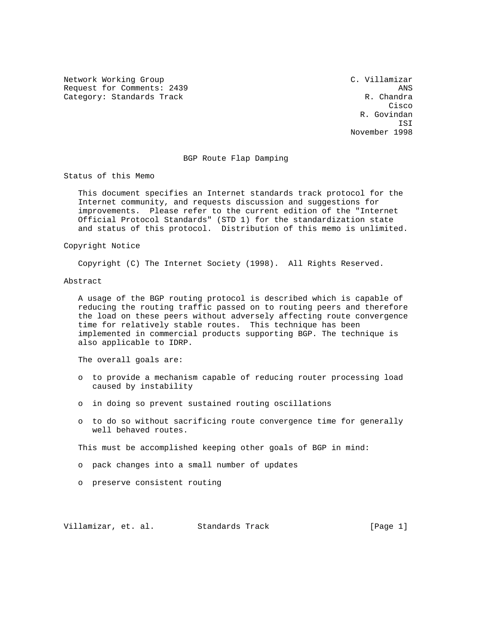Network Working Group C. Villamizar Request for Comments: 2439 ANS Category: Standards Track R. Chandra R. Chandra

**Cisco de la contrata de la contrata de la contrata de la contrata de la contrata de la contrata de la contrat**  R. Govindan ISI November 1998

## BGP Route Flap Damping

Status of this Memo

 This document specifies an Internet standards track protocol for the Internet community, and requests discussion and suggestions for improvements. Please refer to the current edition of the "Internet Official Protocol Standards" (STD 1) for the standardization state and status of this protocol. Distribution of this memo is unlimited.

## Copyright Notice

Copyright (C) The Internet Society (1998). All Rights Reserved.

#### Abstract

 A usage of the BGP routing protocol is described which is capable of reducing the routing traffic passed on to routing peers and therefore the load on these peers without adversely affecting route convergence time for relatively stable routes. This technique has been implemented in commercial products supporting BGP. The technique is also applicable to IDRP.

The overall goals are:

- o to provide a mechanism capable of reducing router processing load caused by instability
- o in doing so prevent sustained routing oscillations
- o to do so without sacrificing route convergence time for generally well behaved routes.

This must be accomplished keeping other goals of BGP in mind:

- o pack changes into a small number of updates
- o preserve consistent routing

Villamizar, et. al. Standards Track [Page 1]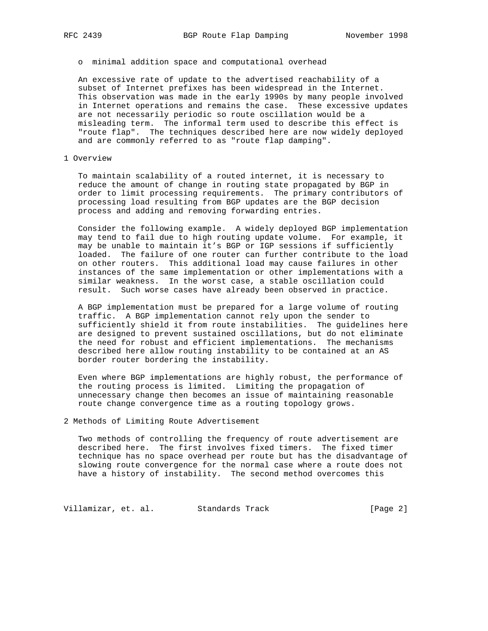o minimal addition space and computational overhead

 An excessive rate of update to the advertised reachability of a subset of Internet prefixes has been widespread in the Internet. This observation was made in the early 1990s by many people involved in Internet operations and remains the case. These excessive updates are not necessarily periodic so route oscillation would be a misleading term. The informal term used to describe this effect is "route flap". The techniques described here are now widely deployed and are commonly referred to as "route flap damping".

# 1 Overview

 To maintain scalability of a routed internet, it is necessary to reduce the amount of change in routing state propagated by BGP in order to limit processing requirements. The primary contributors of processing load resulting from BGP updates are the BGP decision process and adding and removing forwarding entries.

 Consider the following example. A widely deployed BGP implementation may tend to fail due to high routing update volume. For example, it may be unable to maintain it's BGP or IGP sessions if sufficiently loaded. The failure of one router can further contribute to the load on other routers. This additional load may cause failures in other instances of the same implementation or other implementations with a similar weakness. In the worst case, a stable oscillation could result. Such worse cases have already been observed in practice.

 A BGP implementation must be prepared for a large volume of routing traffic. A BGP implementation cannot rely upon the sender to sufficiently shield it from route instabilities. The guidelines here are designed to prevent sustained oscillations, but do not eliminate the need for robust and efficient implementations. The mechanisms described here allow routing instability to be contained at an AS border router bordering the instability.

 Even where BGP implementations are highly robust, the performance of the routing process is limited. Limiting the propagation of unnecessary change then becomes an issue of maintaining reasonable route change convergence time as a routing topology grows.

2 Methods of Limiting Route Advertisement

 Two methods of controlling the frequency of route advertisement are described here. The first involves fixed timers. The fixed timer technique has no space overhead per route but has the disadvantage of slowing route convergence for the normal case where a route does not have a history of instability. The second method overcomes this

Villamizar, et. al. Standards Track (Page 2)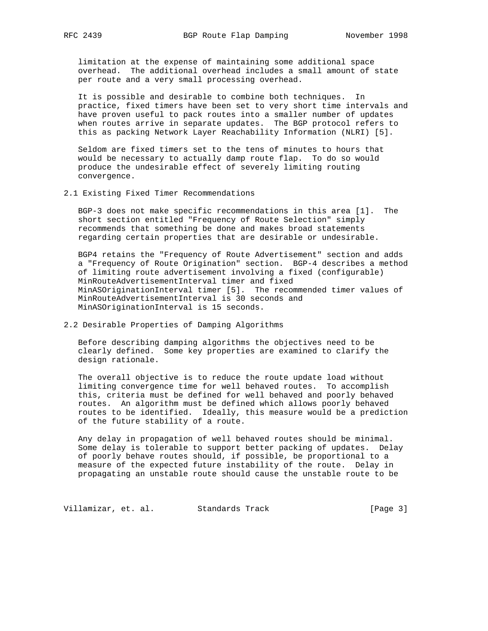limitation at the expense of maintaining some additional space overhead. The additional overhead includes a small amount of state per route and a very small processing overhead.

 It is possible and desirable to combine both techniques. In practice, fixed timers have been set to very short time intervals and have proven useful to pack routes into a smaller number of updates when routes arrive in separate updates. The BGP protocol refers to this as packing Network Layer Reachability Information (NLRI) [5].

 Seldom are fixed timers set to the tens of minutes to hours that would be necessary to actually damp route flap. To do so would produce the undesirable effect of severely limiting routing convergence.

## 2.1 Existing Fixed Timer Recommendations

 BGP-3 does not make specific recommendations in this area [1]. The short section entitled "Frequency of Route Selection" simply recommends that something be done and makes broad statements regarding certain properties that are desirable or undesirable.

 BGP4 retains the "Frequency of Route Advertisement" section and adds a "Frequency of Route Origination" section. BGP-4 describes a method of limiting route advertisement involving a fixed (configurable) MinRouteAdvertisementInterval timer and fixed MinASOriginationInterval timer [5]. The recommended timer values of MinRouteAdvertisementInterval is 30 seconds and MinASOriginationInterval is 15 seconds.

# 2.2 Desirable Properties of Damping Algorithms

 Before describing damping algorithms the objectives need to be clearly defined. Some key properties are examined to clarify the design rationale.

 The overall objective is to reduce the route update load without limiting convergence time for well behaved routes. To accomplish this, criteria must be defined for well behaved and poorly behaved routes. An algorithm must be defined which allows poorly behaved routes to be identified. Ideally, this measure would be a prediction of the future stability of a route.

 Any delay in propagation of well behaved routes should be minimal. Some delay is tolerable to support better packing of updates. Delay of poorly behave routes should, if possible, be proportional to a measure of the expected future instability of the route. Delay in propagating an unstable route should cause the unstable route to be

Villamizar, et. al. Standards Track (Page 3)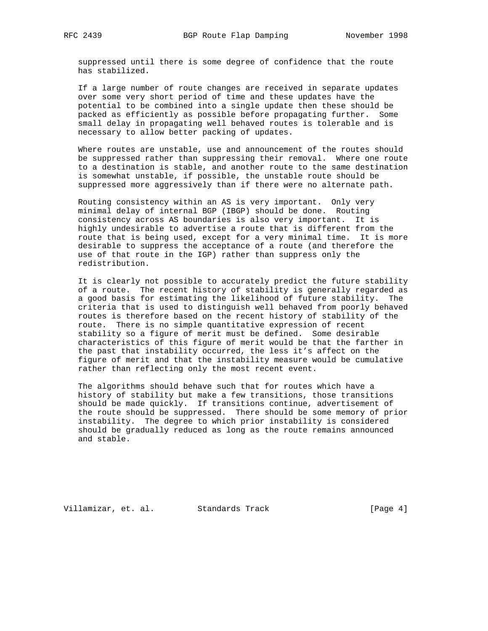suppressed until there is some degree of confidence that the route has stabilized.

 If a large number of route changes are received in separate updates over some very short period of time and these updates have the potential to be combined into a single update then these should be packed as efficiently as possible before propagating further. Some small delay in propagating well behaved routes is tolerable and is necessary to allow better packing of updates.

 Where routes are unstable, use and announcement of the routes should be suppressed rather than suppressing their removal. Where one route to a destination is stable, and another route to the same destination is somewhat unstable, if possible, the unstable route should be suppressed more aggressively than if there were no alternate path.

 Routing consistency within an AS is very important. Only very minimal delay of internal BGP (IBGP) should be done. Routing consistency across AS boundaries is also very important. It is highly undesirable to advertise a route that is different from the route that is being used, except for a very minimal time. It is more desirable to suppress the acceptance of a route (and therefore the use of that route in the IGP) rather than suppress only the redistribution.

 It is clearly not possible to accurately predict the future stability of a route. The recent history of stability is generally regarded as a good basis for estimating the likelihood of future stability. The criteria that is used to distinguish well behaved from poorly behaved routes is therefore based on the recent history of stability of the route. There is no simple quantitative expression of recent stability so a figure of merit must be defined. Some desirable characteristics of this figure of merit would be that the farther in the past that instability occurred, the less it's affect on the figure of merit and that the instability measure would be cumulative rather than reflecting only the most recent event.

 The algorithms should behave such that for routes which have a history of stability but make a few transitions, those transitions should be made quickly. If transitions continue, advertisement of the route should be suppressed. There should be some memory of prior instability. The degree to which prior instability is considered should be gradually reduced as long as the route remains announced and stable.

Villamizar, et. al. Standards Track [Page 4]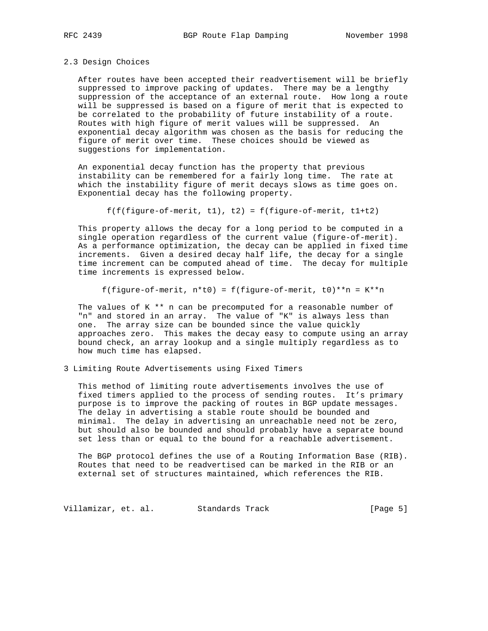### 2.3 Design Choices

 After routes have been accepted their readvertisement will be briefly suppressed to improve packing of updates. There may be a lengthy suppression of the acceptance of an external route. How long a route will be suppressed is based on a figure of merit that is expected to be correlated to the probability of future instability of a route. Routes with high figure of merit values will be suppressed. An exponential decay algorithm was chosen as the basis for reducing the figure of merit over time. These choices should be viewed as suggestions for implementation.

 An exponential decay function has the property that previous instability can be remembered for a fairly long time. The rate at which the instability figure of merit decays slows as time goes on. Exponential decay has the following property.

 $f(f(figure-of-merit, t1), t2) = f(figure-of-merit, t1+t2)$ 

 This property allows the decay for a long period to be computed in a single operation regardless of the current value (figure-of-merit). As a performance optimization, the decay can be applied in fixed time increments. Given a desired decay half life, the decay for a single time increment can be computed ahead of time. The decay for multiple time increments is expressed below.

f(figure-of-merit,  $n*t0$ ) = f(figure-of-merit, t0) \*\* n = K\*\*n

 The values of K \*\* n can be precomputed for a reasonable number of "n" and stored in an array. The value of "K" is always less than one. The array size can be bounded since the value quickly approaches zero. This makes the decay easy to compute using an array bound check, an array lookup and a single multiply regardless as to how much time has elapsed.

3 Limiting Route Advertisements using Fixed Timers

 This method of limiting route advertisements involves the use of fixed timers applied to the process of sending routes. It's primary purpose is to improve the packing of routes in BGP update messages. The delay in advertising a stable route should be bounded and minimal. The delay in advertising an unreachable need not be zero, but should also be bounded and should probably have a separate bound set less than or equal to the bound for a reachable advertisement.

 The BGP protocol defines the use of a Routing Information Base (RIB). Routes that need to be readvertised can be marked in the RIB or an external set of structures maintained, which references the RIB.

Villamizar, et. al. Standards Track (Page 5)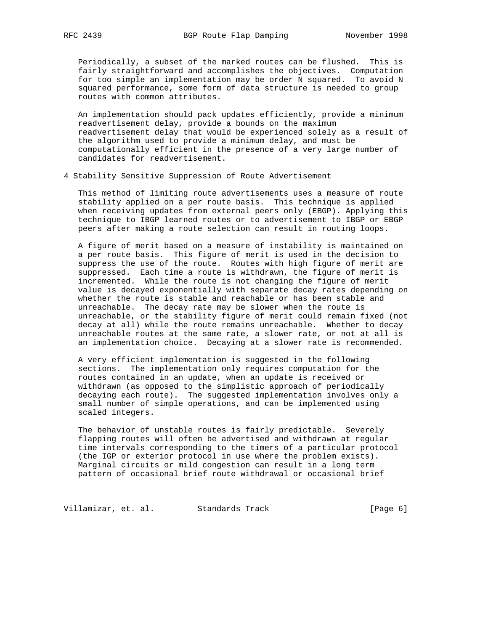Periodically, a subset of the marked routes can be flushed. This is fairly straightforward and accomplishes the objectives. Computation for too simple an implementation may be order N squared. To avoid N squared performance, some form of data structure is needed to group routes with common attributes.

 An implementation should pack updates efficiently, provide a minimum readvertisement delay, provide a bounds on the maximum readvertisement delay that would be experienced solely as a result of the algorithm used to provide a minimum delay, and must be computationally efficient in the presence of a very large number of candidates for readvertisement.

4 Stability Sensitive Suppression of Route Advertisement

 This method of limiting route advertisements uses a measure of route stability applied on a per route basis. This technique is applied when receiving updates from external peers only (EBGP). Applying this technique to IBGP learned routes or to advertisement to IBGP or EBGP peers after making a route selection can result in routing loops.

 A figure of merit based on a measure of instability is maintained on a per route basis. This figure of merit is used in the decision to suppress the use of the route. Routes with high figure of merit are suppressed. Each time a route is withdrawn, the figure of merit is incremented. While the route is not changing the figure of merit value is decayed exponentially with separate decay rates depending on whether the route is stable and reachable or has been stable and unreachable. The decay rate may be slower when the route is unreachable, or the stability figure of merit could remain fixed (not decay at all) while the route remains unreachable. Whether to decay unreachable routes at the same rate, a slower rate, or not at all is an implementation choice. Decaying at a slower rate is recommended.

 A very efficient implementation is suggested in the following sections. The implementation only requires computation for the routes contained in an update, when an update is received or withdrawn (as opposed to the simplistic approach of periodically decaying each route). The suggested implementation involves only a small number of simple operations, and can be implemented using scaled integers.

 The behavior of unstable routes is fairly predictable. Severely flapping routes will often be advertised and withdrawn at regular time intervals corresponding to the timers of a particular protocol (the IGP or exterior protocol in use where the problem exists). Marginal circuits or mild congestion can result in a long term pattern of occasional brief route withdrawal or occasional brief

Villamizar, et. al. Standards Track [Page 6]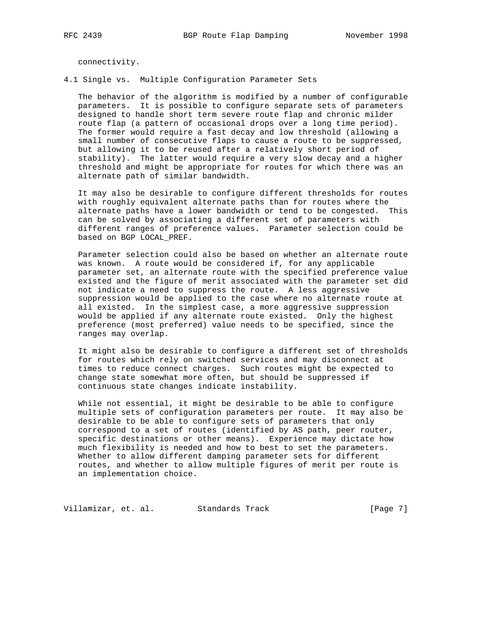connectivity.

4.1 Single vs. Multiple Configuration Parameter Sets

 The behavior of the algorithm is modified by a number of configurable parameters. It is possible to configure separate sets of parameters designed to handle short term severe route flap and chronic milder route flap (a pattern of occasional drops over a long time period). The former would require a fast decay and low threshold (allowing a small number of consecutive flaps to cause a route to be suppressed, but allowing it to be reused after a relatively short period of stability). The latter would require a very slow decay and a higher threshold and might be appropriate for routes for which there was an alternate path of similar bandwidth.

 It may also be desirable to configure different thresholds for routes with roughly equivalent alternate paths than for routes where the alternate paths have a lower bandwidth or tend to be congested. This can be solved by associating a different set of parameters with different ranges of preference values. Parameter selection could be based on BGP LOCAL\_PREF.

 Parameter selection could also be based on whether an alternate route was known. A route would be considered if, for any applicable parameter set, an alternate route with the specified preference value existed and the figure of merit associated with the parameter set did not indicate a need to suppress the route. A less aggressive suppression would be applied to the case where no alternate route at all existed. In the simplest case, a more aggressive suppression would be applied if any alternate route existed. Only the highest preference (most preferred) value needs to be specified, since the ranges may overlap.

 It might also be desirable to configure a different set of thresholds for routes which rely on switched services and may disconnect at times to reduce connect charges. Such routes might be expected to change state somewhat more often, but should be suppressed if continuous state changes indicate instability.

 While not essential, it might be desirable to be able to configure multiple sets of configuration parameters per route. It may also be desirable to be able to configure sets of parameters that only correspond to a set of routes (identified by AS path, peer router, specific destinations or other means). Experience may dictate how much flexibility is needed and how to best to set the parameters. Whether to allow different damping parameter sets for different routes, and whether to allow multiple figures of merit per route is an implementation choice.

Villamizar, et. al. Standards Track [Page 7]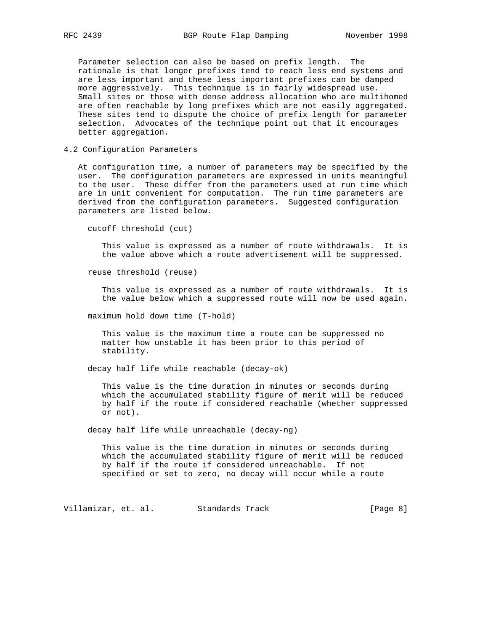Parameter selection can also be based on prefix length. The rationale is that longer prefixes tend to reach less end systems and are less important and these less important prefixes can be damped more aggressively. This technique is in fairly widespread use. Small sites or those with dense address allocation who are multihomed are often reachable by long prefixes which are not easily aggregated. These sites tend to dispute the choice of prefix length for parameter selection. Advocates of the technique point out that it encourages better aggregation.

4.2 Configuration Parameters

 At configuration time, a number of parameters may be specified by the user. The configuration parameters are expressed in units meaningful to the user. These differ from the parameters used at run time which are in unit convenient for computation. The run time parameters are derived from the configuration parameters. Suggested configuration parameters are listed below.

cutoff threshold (cut)

 This value is expressed as a number of route withdrawals. It is the value above which a route advertisement will be suppressed.

reuse threshold (reuse)

 This value is expressed as a number of route withdrawals. It is the value below which a suppressed route will now be used again.

maximum hold down time (T-hold)

 This value is the maximum time a route can be suppressed no matter how unstable it has been prior to this period of stability.

decay half life while reachable (decay-ok)

 This value is the time duration in minutes or seconds during which the accumulated stability figure of merit will be reduced by half if the route if considered reachable (whether suppressed or not).

decay half life while unreachable (decay-ng)

 This value is the time duration in minutes or seconds during which the accumulated stability figure of merit will be reduced by half if the route if considered unreachable. If not specified or set to zero, no decay will occur while a route

Villamizar, et. al. Standards Track (Page 8)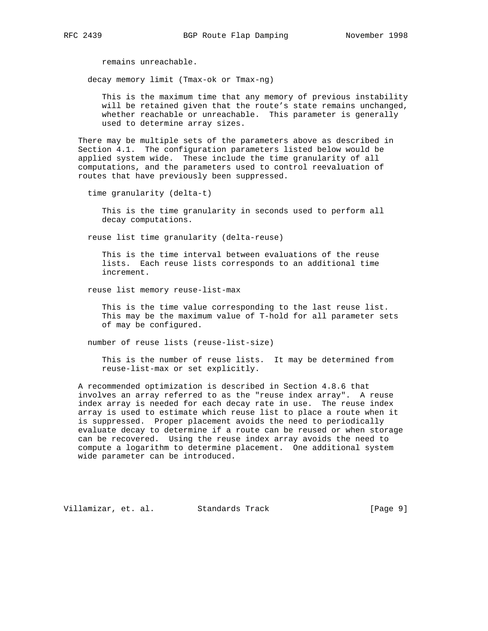remains unreachable.

decay memory limit (Tmax-ok or Tmax-ng)

 This is the maximum time that any memory of previous instability will be retained given that the route's state remains unchanged, whether reachable or unreachable. This parameter is generally used to determine array sizes.

 There may be multiple sets of the parameters above as described in Section 4.1. The configuration parameters listed below would be applied system wide. These include the time granularity of all computations, and the parameters used to control reevaluation of routes that have previously been suppressed.

time granularity (delta-t)

 This is the time granularity in seconds used to perform all decay computations.

reuse list time granularity (delta-reuse)

 This is the time interval between evaluations of the reuse lists. Each reuse lists corresponds to an additional time increment.

reuse list memory reuse-list-max

 This is the time value corresponding to the last reuse list. This may be the maximum value of T-hold for all parameter sets of may be configured.

number of reuse lists (reuse-list-size)

 This is the number of reuse lists. It may be determined from reuse-list-max or set explicitly.

 A recommended optimization is described in Section 4.8.6 that involves an array referred to as the "reuse index array". A reuse index array is needed for each decay rate in use. The reuse index array is used to estimate which reuse list to place a route when it is suppressed. Proper placement avoids the need to periodically evaluate decay to determine if a route can be reused or when storage can be recovered. Using the reuse index array avoids the need to compute a logarithm to determine placement. One additional system wide parameter can be introduced.

Villamizar, et. al. Standards Track [Page 9]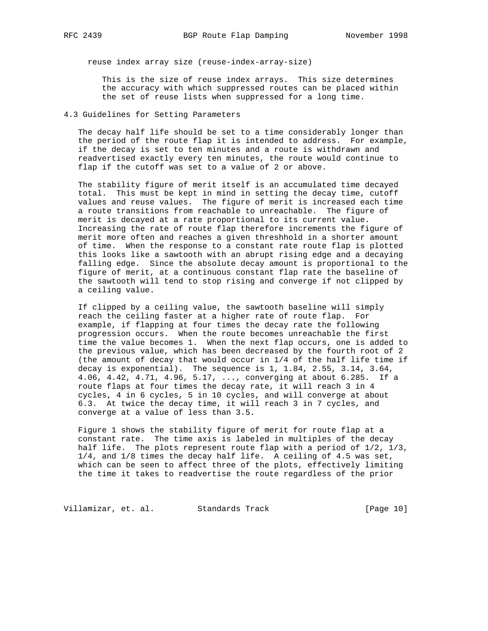reuse index array size (reuse-index-array-size)

 This is the size of reuse index arrays. This size determines the accuracy with which suppressed routes can be placed within the set of reuse lists when suppressed for a long time.

## 4.3 Guidelines for Setting Parameters

 The decay half life should be set to a time considerably longer than the period of the route flap it is intended to address. For example, if the decay is set to ten minutes and a route is withdrawn and readvertised exactly every ten minutes, the route would continue to flap if the cutoff was set to a value of 2 or above.

 The stability figure of merit itself is an accumulated time decayed total. This must be kept in mind in setting the decay time, cutoff values and reuse values. The figure of merit is increased each time a route transitions from reachable to unreachable. The figure of merit is decayed at a rate proportional to its current value. Increasing the rate of route flap therefore increments the figure of merit more often and reaches a given threshhold in a shorter amount of time. When the response to a constant rate route flap is plotted this looks like a sawtooth with an abrupt rising edge and a decaying falling edge. Since the absolute decay amount is proportional to the figure of merit, at a continuous constant flap rate the baseline of the sawtooth will tend to stop rising and converge if not clipped by a ceiling value.

 If clipped by a ceiling value, the sawtooth baseline will simply reach the ceiling faster at a higher rate of route flap. For example, if flapping at four times the decay rate the following progression occurs. When the route becomes unreachable the first time the value becomes 1. When the next flap occurs, one is added to the previous value, which has been decreased by the fourth root of 2 (the amount of decay that would occur in 1/4 of the half life time if decay is exponential). The sequence is  $1, 1.84, 2.55, 3.14, 3.64,$  4.06, 4.42, 4.71, 4.96, 5.17, ..., converging at about 6.285. If a route flaps at four times the decay rate, it will reach 3 in 4 cycles, 4 in 6 cycles, 5 in 10 cycles, and will converge at about 6.3. At twice the decay time, it will reach 3 in 7 cycles, and converge at a value of less than 3.5.

 Figure 1 shows the stability figure of merit for route flap at a constant rate. The time axis is labeled in multiples of the decay half life. The plots represent route flap with a period of 1/2, 1/3, 1/4, and 1/8 times the decay half life. A ceiling of 4.5 was set, which can be seen to affect three of the plots, effectively limiting the time it takes to readvertise the route regardless of the prior

Villamizar, et. al. Standards Track [Page 10]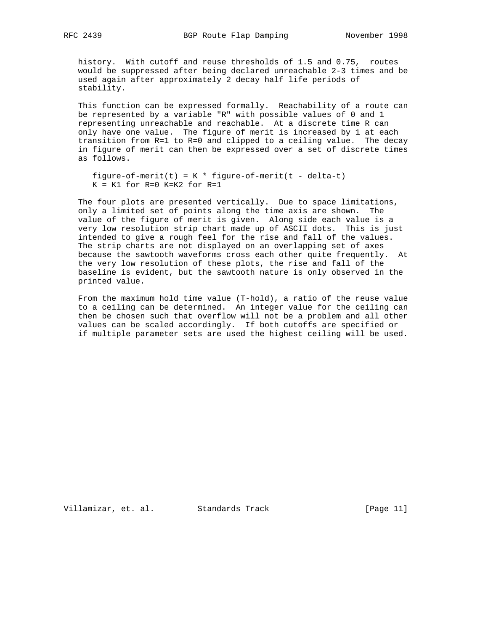history. With cutoff and reuse thresholds of 1.5 and 0.75, routes would be suppressed after being declared unreachable 2-3 times and be used again after approximately 2 decay half life periods of stability.

 This function can be expressed formally. Reachability of a route can be represented by a variable "R" with possible values of 0 and 1 representing unreachable and reachable. At a discrete time R can only have one value. The figure of merit is increased by 1 at each transition from R=1 to R=0 and clipped to a ceiling value. The decay in figure of merit can then be expressed over a set of discrete times as follows.

```
figure-of-merit(t) = K * figure-of-merit(t - delta-t)
K = K1 for R=0 K=K2 for R=1
```
 The four plots are presented vertically. Due to space limitations, only a limited set of points along the time axis are shown. The value of the figure of merit is given. Along side each value is a very low resolution strip chart made up of ASCII dots. This is just intended to give a rough feel for the rise and fall of the values. The strip charts are not displayed on an overlapping set of axes because the sawtooth waveforms cross each other quite frequently. At the very low resolution of these plots, the rise and fall of the baseline is evident, but the sawtooth nature is only observed in the printed value.

 From the maximum hold time value (T-hold), a ratio of the reuse value to a ceiling can be determined. An integer value for the ceiling can then be chosen such that overflow will not be a problem and all other values can be scaled accordingly. If both cutoffs are specified or if multiple parameter sets are used the highest ceiling will be used.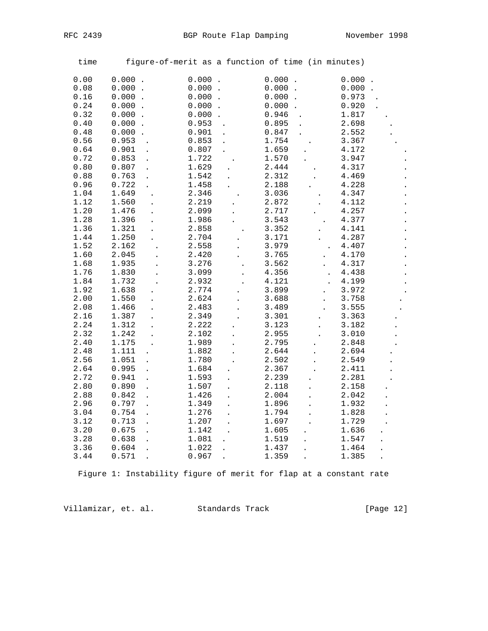| time |                               |                               | figure-of-merit as a function of time (in minutes) |                               |
|------|-------------------------------|-------------------------------|----------------------------------------------------|-------------------------------|
| 0.00 | $0.000$ .                     | $0.000$ .                     | $0.000$ .                                          | 0.000                         |
| 0.08 | $0.000$ .                     | $0.000$ .                     | 0.000<br>$\ddot{\phantom{a}}$                      | $0.000$ .                     |
| 0.16 | $0.000$ .                     | $0.000$ .                     | 0.000<br>$\ddot{\phantom{a}}$                      | 0.973                         |
| 0.24 | $0.000$ .                     | $0.000$ .                     | $0.000$ .                                          | 0.920                         |
| 0.32 | $0.000$ .                     | $0.000$ .                     | 0.946                                              | 1.817                         |
| 0.40 | 0.000                         | 0.953                         | 0.895                                              | 2.698                         |
| 0.48 | $0.000$ .                     | 0.901<br>$\ddot{\phantom{a}}$ | 0.847                                              | 2.552                         |
| 0.56 | 0.953                         | 0.853                         | 1.754                                              | 3.367                         |
| 0.64 | 0.901                         | 0.807                         | 1.659                                              | 4.172                         |
| 0.72 | 0.853                         | 1.722                         | 1.570                                              | 3.947                         |
| 0.80 | 0.807                         | 1.629                         | 2.444                                              | 4.317                         |
| 0.88 | 0.763                         | 1.542                         | 2.312                                              | 4.469                         |
| 0.96 | 0.722                         | 1.458                         | 2.188                                              | 4.228                         |
| 1.04 | 1.649                         | 2.346                         | 3.036                                              | 4.347                         |
| 1.12 | 1.560                         | 2.219                         | 2.872                                              | 4.112                         |
| 1.20 | 1.476                         | 2.099                         | 2.717                                              | 4.257                         |
| 1.28 | 1.396                         | 1.986                         | 3.543                                              | 4.377                         |
| 1.36 | 1.321                         | 2.858                         | 3.352                                              | 4.141                         |
| 1.44 | 1.250                         | 2.704                         | 3.171                                              | 4.287                         |
| 1.52 | 2.162                         | 2.558                         | 3.979                                              | 4.407                         |
| 1.60 | 2.045                         | 2.420                         | 3.765<br>$\ddot{\phantom{a}}$                      | 4.170                         |
| 1.68 | 1.935                         | 3.276                         | 3.562                                              | 4.317                         |
| 1.76 | 1.830                         | 3.099                         | 4.356                                              | 4.438<br>$\ddot{\phantom{a}}$ |
| 1.84 | 1.732                         | 2.932                         | 4.121                                              | 4.199                         |
| 1.92 | 1.638                         | 2.774                         | 3.899                                              | 3.972                         |
| 2.00 | 1.550                         | 2.624                         | 3.688<br>$\ddot{\phantom{a}}$                      | 3.758                         |
| 2.08 | 1.466                         | 2.483                         | 3.489                                              | 3.555                         |
| 2.16 | 1.387                         | 2.349                         | 3.301                                              | 3.363                         |
| 2.24 | 1.312                         | 2.222                         | 3.123                                              | 3.182                         |
| 2.32 | 1.242                         | 2.102                         | 2.955                                              | 3.010                         |
| 2.40 | 1.175                         | 1.989                         | 2.795                                              | 2.848                         |
| 2.48 | 1.111                         | 1.882                         | 2.644                                              | 2.694                         |
| 2.56 | 1.051<br>$\ddot{\phantom{a}}$ | 1.780                         | 2.502                                              | 2.549                         |
| 2.64 | 0.995                         | 1.684                         | 2.367                                              | 2.411                         |
| 2.72 | 0.941                         | 1.593                         | 2.239                                              | 2.281                         |
| 2.80 | 0.890                         | 1.507                         | 2.118                                              | 2.158                         |
| 2.88 | 0.842                         | 1.426                         | 2.004                                              | 2.042                         |
| 2.96 | 0.797                         | 1.349                         | 1.896                                              | 1.932                         |
| 3.04 | 0.754                         | 1.276                         | 1.794                                              | 1.828                         |
| 3.12 | 0.713                         | 1.207                         | 1.697                                              | 1.729                         |
| 3.20 | 0.675                         | 1.142                         | 1.605                                              | 1.636                         |
| 3.28 | 0.638                         | 1.081                         | 1.519                                              | 1.547                         |
| 3.36 | 0.604                         | 1.022                         | 1.437                                              | 1.464                         |
| 3.44 | 0.571                         | 0.967                         | 1.359                                              | 1.385                         |

Figure 1: Instability figure of merit for flap at a constant rate

Villamizar, et. al. Standards Track [Page 12]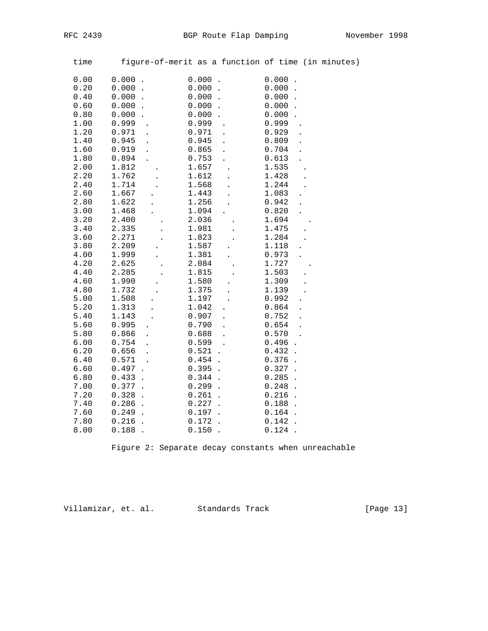| time | figure-of-merit as a function of time (in minutes) |                                   |                      |                               |  |
|------|----------------------------------------------------|-----------------------------------|----------------------|-------------------------------|--|
| 0.00 | 0.000                                              | 0.000<br>$\ddot{\phantom{a}}$     |                      | 0.000                         |  |
| 0.20 | 0.000<br>$\ddot{\phantom{a}}$                      | 0.000<br>$\ddot{\phantom{a}}$     |                      | 0.000<br>$\ddot{\phantom{a}}$ |  |
| 0.40 | 0.000                                              | 0.000<br>$\ddot{\phantom{a}}$     |                      | 0.000                         |  |
| 0.60 | 0.000                                              | 0.000<br>$\ddot{\phantom{a}}$     |                      | 0.000                         |  |
| 0.80 | 0.000                                              | 0.000                             |                      | 0.000                         |  |
| 1.00 | 0.999                                              | 0.999                             |                      | 0.999                         |  |
| 1.20 | 0.971                                              | 0.971                             |                      | 0.929                         |  |
| 1.40 | 0.945                                              | 0.945                             |                      | 0.809                         |  |
| 1.60 | 0.919                                              | 0.865                             |                      | 0.704                         |  |
| 1.80 | 0.894                                              | 0.753                             |                      | 0.613                         |  |
| 2.00 | 1.812                                              | 1.657                             |                      | 1.535                         |  |
| 2.20 | 1.762                                              | 1.612                             | $\ddot{\phantom{a}}$ | 1.428                         |  |
| 2.40 | 1.714                                              | 1.568                             |                      | 1.244                         |  |
| 2.60 | 1.667                                              | 1.443                             |                      | 1.083                         |  |
| 2.80 | 1.622                                              | 1.256                             |                      | 0.942                         |  |
| 3.00 | 1.468                                              | 1.094                             |                      | 0.820                         |  |
| 3.20 | 2.400                                              | 2.036                             |                      | 1.694                         |  |
| 3.40 | 2.335                                              | 1.981                             |                      | 1.475                         |  |
| 3.60 | 2.271                                              | 1.823                             |                      | 1.284                         |  |
| 3.80 | 2.209                                              | 1.587                             |                      | 1.118                         |  |
| 4.00 | 1.999                                              | 1.381                             |                      | 0.973                         |  |
| 4.20 | 2.625                                              | 2.084                             |                      | 1.727                         |  |
| 4.40 | 2.285                                              | 1.815                             |                      | 1.503                         |  |
| 4.60 | 1.990                                              | 1.580                             |                      | 1.309                         |  |
| 4.80 | 1.732                                              | 1.375                             |                      | 1.139                         |  |
| 5.00 | 1.508                                              | 1.197                             | $\overline{a}$       | 0.992                         |  |
| 5.20 | 1.313                                              | 1.042                             |                      | 0.864                         |  |
| 5.40 | 1.143                                              | 0.907                             |                      | 0.752                         |  |
| 5.60 | 0.995                                              | 0.790                             |                      | 0.654                         |  |
| 5.80 | 0.866                                              | 0.688                             |                      | 0.570                         |  |
| 6.00 | 0.754                                              | 0.599                             |                      | 0.496                         |  |
| 6.20 | 0.656<br>$\ddot{\phantom{a}}$                      | 0.521<br>$\ddot{\phantom{a}}$     |                      | 0.432<br>$\ddot{\phantom{a}}$ |  |
| 6.40 | 0.571                                              | 0.454<br>$\ddot{\phantom{a}}$     |                      | 0.376<br>$\ddot{\phantom{a}}$ |  |
| 6.60 | 0.497                                              | 0.395<br>$\ddot{\phantom{a}}$     |                      | 0.327<br>$\ddot{\phantom{a}}$ |  |
| 6.80 | 0.433                                              | 0.344<br>$\ddot{\phantom{a}}$     |                      | 0.285<br>$\ddot{\phantom{0}}$ |  |
| 7.00 | 0.377                                              | 0.299<br>$\ddot{\phantom{a}}$     |                      | 0.248<br>$\ddot{\phantom{a}}$ |  |
| 7.20 | 0.328                                              | 0.261<br>$\overline{\phantom{a}}$ |                      | 0.216<br>$\overline{a}$       |  |
| 7.40 | 0.286<br>$\ddot{\phantom{a}}$                      | 0.227<br>$\ddot{\phantom{0}}$     |                      | 0.188<br>$\ddot{\phantom{0}}$ |  |
| 7.60 | 0.249<br>$\ddot{\phantom{a}}$                      | 0.197<br>$\ddot{\phantom{1}}$     |                      | 0.164                         |  |
| 7.80 | 0.216                                              | 0.172                             |                      | 0.142                         |  |
| 8.00 | 0.188                                              | 0.150                             |                      | 0.124                         |  |

Figure 2: Separate decay constants when unreachable

Villamizar, et. al. Standards Track [Page 13]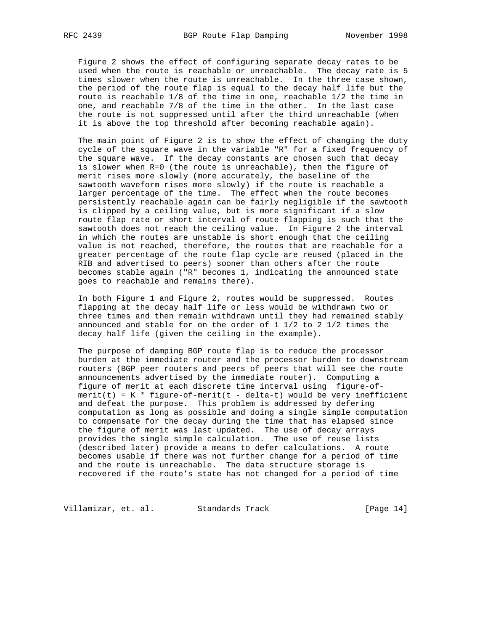Figure 2 shows the effect of configuring separate decay rates to be used when the route is reachable or unreachable. The decay rate is 5 times slower when the route is unreachable. In the three case shown, the period of the route flap is equal to the decay half life but the route is reachable 1/8 of the time in one, reachable 1/2 the time in one, and reachable 7/8 of the time in the other. In the last case the route is not suppressed until after the third unreachable (when it is above the top threshold after becoming reachable again).

 The main point of Figure 2 is to show the effect of changing the duty cycle of the square wave in the variable "R" for a fixed frequency of the square wave. If the decay constants are chosen such that decay is slower when R=0 (the route is unreachable), then the figure of merit rises more slowly (more accurately, the baseline of the sawtooth waveform rises more slowly) if the route is reachable a larger percentage of the time. The effect when the route becomes persistently reachable again can be fairly negligible if the sawtooth is clipped by a ceiling value, but is more significant if a slow route flap rate or short interval of route flapping is such that the sawtooth does not reach the ceiling value. In Figure 2 the interval in which the routes are unstable is short enough that the ceiling value is not reached, therefore, the routes that are reachable for a greater percentage of the route flap cycle are reused (placed in the RIB and advertised to peers) sooner than others after the route becomes stable again ("R" becomes 1, indicating the announced state goes to reachable and remains there).

 In both Figure 1 and Figure 2, routes would be suppressed. Routes flapping at the decay half life or less would be withdrawn two or three times and then remain withdrawn until they had remained stably announced and stable for on the order of 1 1/2 to 2 1/2 times the decay half life (given the ceiling in the example).

 The purpose of damping BGP route flap is to reduce the processor burden at the immediate router and the processor burden to downstream routers (BGP peer routers and peers of peers that will see the route announcements advertised by the immediate router). Computing a figure of merit at each discrete time interval using figure-of  $merit(t) = K * figure-of-merit(t - delta-t)$  would be very inefficient and defeat the purpose. This problem is addressed by defering computation as long as possible and doing a single simple computation to compensate for the decay during the time that has elapsed since the figure of merit was last updated. The use of decay arrays provides the single simple calculation. The use of reuse lists (described later) provide a means to defer calculations. A route becomes usable if there was not further change for a period of time and the route is unreachable. The data structure storage is recovered if the route's state has not changed for a period of time

Villamizar, et. al. Standards Track (Page 14)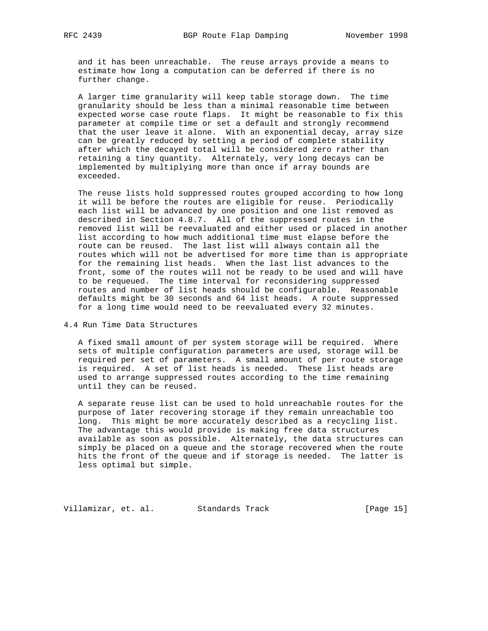and it has been unreachable. The reuse arrays provide a means to estimate how long a computation can be deferred if there is no further change.

 A larger time granularity will keep table storage down. The time granularity should be less than a minimal reasonable time between expected worse case route flaps. It might be reasonable to fix this parameter at compile time or set a default and strongly recommend that the user leave it alone. With an exponential decay, array size can be greatly reduced by setting a period of complete stability after which the decayed total will be considered zero rather than retaining a tiny quantity. Alternately, very long decays can be implemented by multiplying more than once if array bounds are exceeded.

 The reuse lists hold suppressed routes grouped according to how long it will be before the routes are eligible for reuse. Periodically each list will be advanced by one position and one list removed as described in Section 4.8.7. All of the suppressed routes in the removed list will be reevaluated and either used or placed in another list according to how much additional time must elapse before the route can be reused. The last list will always contain all the routes which will not be advertised for more time than is appropriate for the remaining list heads. When the last list advances to the front, some of the routes will not be ready to be used and will have to be requeued. The time interval for reconsidering suppressed routes and number of list heads should be configurable. Reasonable defaults might be 30 seconds and 64 list heads. A route suppressed for a long time would need to be reevaluated every 32 minutes.

4.4 Run Time Data Structures

 A fixed small amount of per system storage will be required. Where sets of multiple configuration parameters are used, storage will be required per set of parameters. A small amount of per route storage is required. A set of list heads is needed. These list heads are used to arrange suppressed routes according to the time remaining until they can be reused.

 A separate reuse list can be used to hold unreachable routes for the purpose of later recovering storage if they remain unreachable too long. This might be more accurately described as a recycling list. The advantage this would provide is making free data structures available as soon as possible. Alternately, the data structures can simply be placed on a queue and the storage recovered when the route hits the front of the queue and if storage is needed. The latter is less optimal but simple.

Villamizar, et. al. Standards Track [Page 15]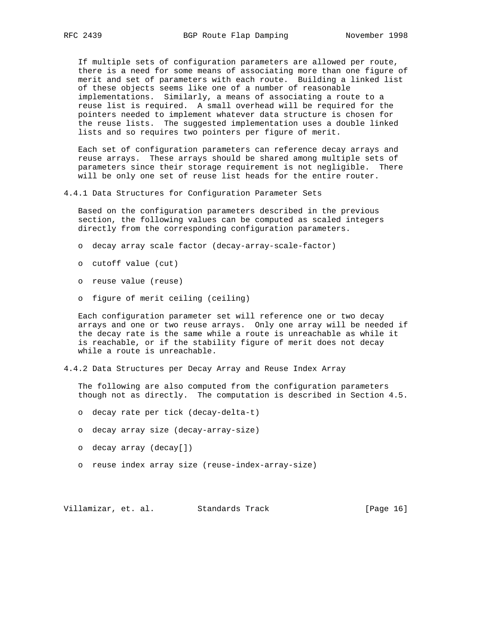If multiple sets of configuration parameters are allowed per route, there is a need for some means of associating more than one figure of merit and set of parameters with each route. Building a linked list of these objects seems like one of a number of reasonable implementations. Similarly, a means of associating a route to a reuse list is required. A small overhead will be required for the pointers needed to implement whatever data structure is chosen for the reuse lists. The suggested implementation uses a double linked lists and so requires two pointers per figure of merit.

 Each set of configuration parameters can reference decay arrays and reuse arrays. These arrays should be shared among multiple sets of parameters since their storage requirement is not negligible. There will be only one set of reuse list heads for the entire router.

4.4.1 Data Structures for Configuration Parameter Sets

 Based on the configuration parameters described in the previous section, the following values can be computed as scaled integers directly from the corresponding configuration parameters.

- o decay array scale factor (decay-array-scale-factor)
- o cutoff value (cut)
- o reuse value (reuse)
- o figure of merit ceiling (ceiling)

 Each configuration parameter set will reference one or two decay arrays and one or two reuse arrays. Only one array will be needed if the decay rate is the same while a route is unreachable as while it is reachable, or if the stability figure of merit does not decay while a route is unreachable.

4.4.2 Data Structures per Decay Array and Reuse Index Array

 The following are also computed from the configuration parameters though not as directly. The computation is described in Section 4.5.

- o decay rate per tick (decay-delta-t)
- o decay array size (decay-array-size)
- o decay array (decay[])
- o reuse index array size (reuse-index-array-size)

Villamizar, et. al. Standards Track [Page 16]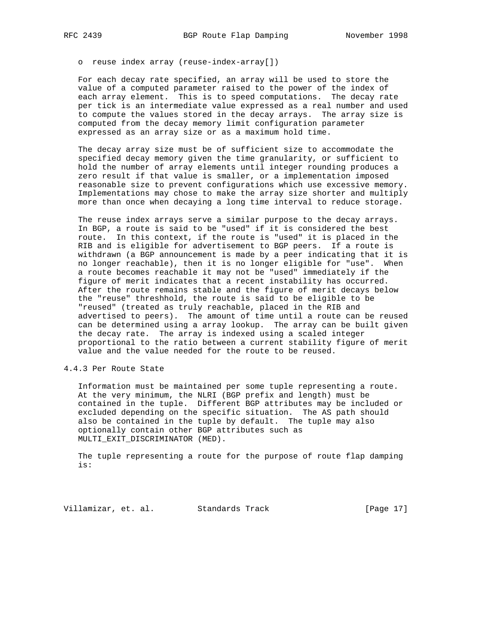o reuse index array (reuse-index-array[])

 For each decay rate specified, an array will be used to store the value of a computed parameter raised to the power of the index of each array element. This is to speed computations. The decay rate per tick is an intermediate value expressed as a real number and used to compute the values stored in the decay arrays. The array size is computed from the decay memory limit configuration parameter expressed as an array size or as a maximum hold time.

 The decay array size must be of sufficient size to accommodate the specified decay memory given the time granularity, or sufficient to hold the number of array elements until integer rounding produces a zero result if that value is smaller, or a implementation imposed reasonable size to prevent configurations which use excessive memory. Implementations may chose to make the array size shorter and multiply more than once when decaying a long time interval to reduce storage.

 The reuse index arrays serve a similar purpose to the decay arrays. In BGP, a route is said to be "used" if it is considered the best route. In this context, if the route is "used" it is placed in the RIB and is eligible for advertisement to BGP peers. If a route is withdrawn (a BGP announcement is made by a peer indicating that it is no longer reachable), then it is no longer eligible for "use". When a route becomes reachable it may not be "used" immediately if the figure of merit indicates that a recent instability has occurred. After the route remains stable and the figure of merit decays below the "reuse" threshhold, the route is said to be eligible to be "reused" (treated as truly reachable, placed in the RIB and advertised to peers). The amount of time until a route can be reused can be determined using a array lookup. The array can be built given the decay rate. The array is indexed using a scaled integer proportional to the ratio between a current stability figure of merit value and the value needed for the route to be reused.

4.4.3 Per Route State

 Information must be maintained per some tuple representing a route. At the very minimum, the NLRI (BGP prefix and length) must be contained in the tuple. Different BGP attributes may be included or excluded depending on the specific situation. The AS path should also be contained in the tuple by default. The tuple may also optionally contain other BGP attributes such as MULTI\_EXIT\_DISCRIMINATOR (MED).

 The tuple representing a route for the purpose of route flap damping is:

Villamizar, et. al. Standards Track [Page 17]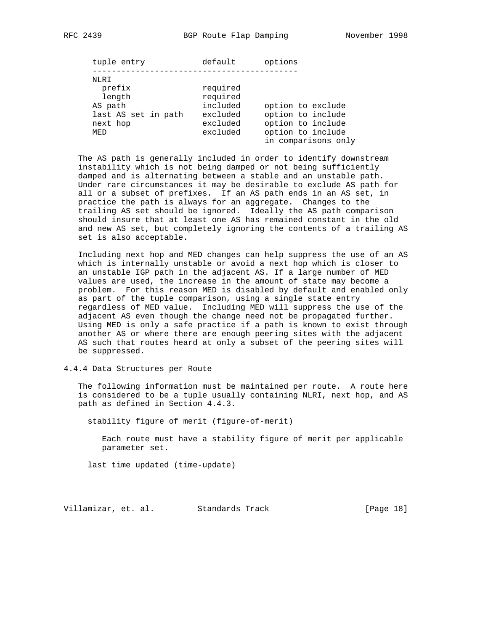| default                                                              | options                                                                                                 |
|----------------------------------------------------------------------|---------------------------------------------------------------------------------------------------------|
| required<br>required<br>included<br>excluded<br>excluded<br>excluded | option to exclude<br>option to include<br>option to include<br>option to include<br>in comparisons only |
|                                                                      |                                                                                                         |

 The AS path is generally included in order to identify downstream instability which is not being damped or not being sufficiently damped and is alternating between a stable and an unstable path. Under rare circumstances it may be desirable to exclude AS path for all or a subset of prefixes. If an AS path ends in an AS set, in practice the path is always for an aggregate. Changes to the trailing AS set should be ignored. Ideally the AS path comparison should insure that at least one AS has remained constant in the old and new AS set, but completely ignoring the contents of a trailing AS set is also acceptable.

 Including next hop and MED changes can help suppress the use of an AS which is internally unstable or avoid a next hop which is closer to an unstable IGP path in the adjacent AS. If a large number of MED values are used, the increase in the amount of state may become a problem. For this reason MED is disabled by default and enabled only as part of the tuple comparison, using a single state entry regardless of MED value. Including MED will suppress the use of the adjacent AS even though the change need not be propagated further. Using MED is only a safe practice if a path is known to exist through another AS or where there are enough peering sites with the adjacent AS such that routes heard at only a subset of the peering sites will be suppressed.

4.4.4 Data Structures per Route

 The following information must be maintained per route. A route here is considered to be a tuple usually containing NLRI, next hop, and AS path as defined in Section 4.4.3.

stability figure of merit (figure-of-merit)

 Each route must have a stability figure of merit per applicable parameter set.

last time updated (time-update)

Villamizar, et. al. Standards Track [Page 18]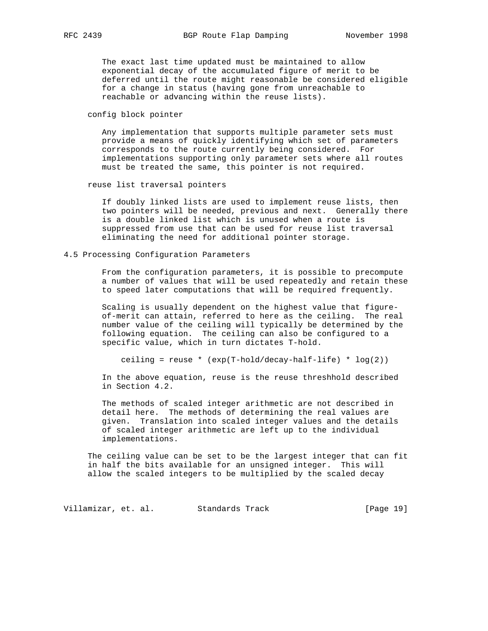The exact last time updated must be maintained to allow exponential decay of the accumulated figure of merit to be deferred until the route might reasonable be considered eligible for a change in status (having gone from unreachable to reachable or advancing within the reuse lists).

config block pointer

 Any implementation that supports multiple parameter sets must provide a means of quickly identifying which set of parameters corresponds to the route currently being considered. For implementations supporting only parameter sets where all routes must be treated the same, this pointer is not required.

reuse list traversal pointers

 If doubly linked lists are used to implement reuse lists, then two pointers will be needed, previous and next. Generally there is a double linked list which is unused when a route is suppressed from use that can be used for reuse list traversal eliminating the need for additional pointer storage.

4.5 Processing Configuration Parameters

 From the configuration parameters, it is possible to precompute a number of values that will be used repeatedly and retain these to speed later computations that will be required frequently.

 Scaling is usually dependent on the highest value that figure of-merit can attain, referred to here as the ceiling. The real number value of the ceiling will typically be determined by the following equation. The ceiling can also be configured to a specific value, which in turn dictates T-hold.

ceiling = reuse \* (exp(T-hold/decay-half-life) \* log(2))

 In the above equation, reuse is the reuse threshhold described in Section 4.2.

 The methods of scaled integer arithmetic are not described in detail here. The methods of determining the real values are given. Translation into scaled integer values and the details of scaled integer arithmetic are left up to the individual implementations.

 The ceiling value can be set to be the largest integer that can fit in half the bits available for an unsigned integer. This will allow the scaled integers to be multiplied by the scaled decay

Villamizar, et. al. Standards Track [Page 19]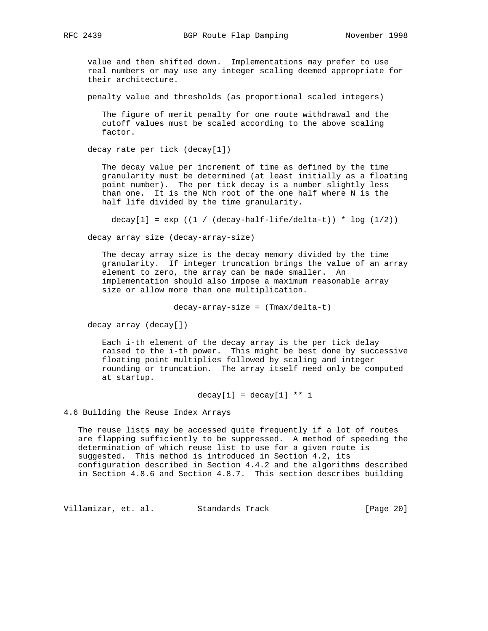value and then shifted down. Implementations may prefer to use real numbers or may use any integer scaling deemed appropriate for their architecture.

penalty value and thresholds (as proportional scaled integers)

 The figure of merit penalty for one route withdrawal and the cutoff values must be scaled according to the above scaling factor.

decay rate per tick (decay[1])

 The decay value per increment of time as defined by the time granularity must be determined (at least initially as a floating point number). The per tick decay is a number slightly less than one. It is the Nth root of the one half where N is the half life divided by the time granularity.

decay $[1]$  = exp ((1 / (decay-half-life/delta-t)) \* log (1/2))

decay array size (decay-array-size)

 The decay array size is the decay memory divided by the time granularity. If integer truncation brings the value of an array element to zero, the array can be made smaller. An implementation should also impose a maximum reasonable array size or allow more than one multiplication.

decay-array-size = (Tmax/delta-t)

decay array (decay[])

 Each i-th element of the decay array is the per tick delay raised to the i-th power. This might be best done by successive floating point multiplies followed by scaling and integer rounding or truncation. The array itself need only be computed at startup.

 $decay[i] = decay[1] ** i$ 

4.6 Building the Reuse Index Arrays

 The reuse lists may be accessed quite frequently if a lot of routes are flapping sufficiently to be suppressed. A method of speeding the determination of which reuse list to use for a given route is suggested. This method is introduced in Section 4.2, its configuration described in Section 4.4.2 and the algorithms described in Section 4.8.6 and Section 4.8.7. This section describes building

Villamizar, et. al. Standards Track [Page 20]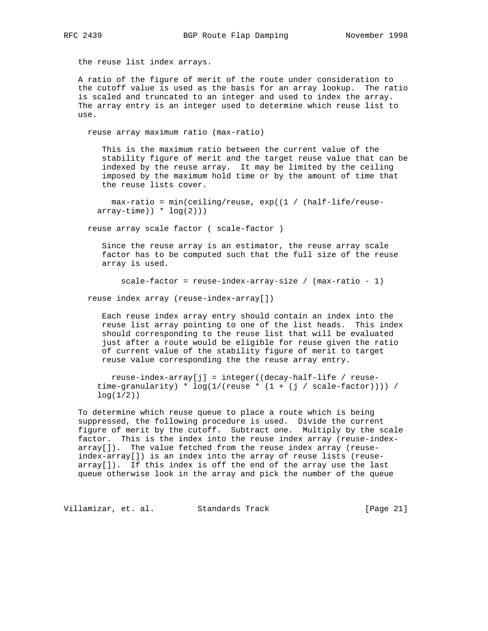the reuse list index arrays.

 A ratio of the figure of merit of the route under consideration to the cutoff value is used as the basis for an array lookup. The ratio is scaled and truncated to an integer and used to index the array. The array entry is an integer used to determine which reuse list to use.

reuse array maximum ratio (max-ratio)

 This is the maximum ratio between the current value of the stability figure of merit and the target reuse value that can be indexed by the reuse array. It may be limited by the ceiling imposed by the maximum hold time or by the amount of time that the reuse lists cover.

 max-ratio = min(ceiling/reuse, exp((1 / (half-life/reuse  $array-time$ ) \*  $log(2)$ )

reuse array scale factor ( scale-factor )

 Since the reuse array is an estimator, the reuse array scale factor has to be computed such that the full size of the reuse array is used.

scale-factor = reuse-index-array-size / (max-ratio - 1)

reuse index array (reuse-index-array[])

 Each reuse index array entry should contain an index into the reuse list array pointing to one of the list heads. This index should corresponding to the reuse list that will be evaluated just after a route would be eligible for reuse given the ratio of current value of the stability figure of merit to target reuse value corresponding the the reuse array entry.

 reuse-index-array[j] = integer((decay-half-life / reuse time-granularity) \*  $log(1/(reuse * (1 + (j / scale-factor))))$  $log(1/2)$ 

 To determine which reuse queue to place a route which is being suppressed, the following procedure is used. Divide the current figure of merit by the cutoff. Subtract one. Multiply by the scale factor. This is the index into the reuse index array (reuse-index array[]). The value fetched from the reuse index array (reuse index-array[]) is an index into the array of reuse lists (reuse array[]). If this index is off the end of the array use the last queue otherwise look in the array and pick the number of the queue

Villamizar, et. al. Standards Track (Page 21)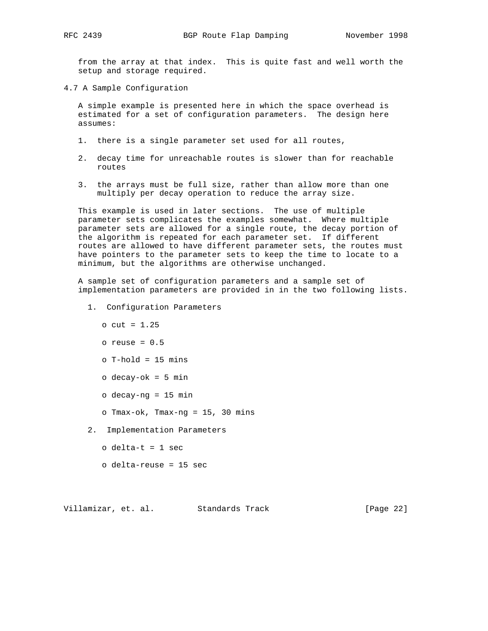from the array at that index. This is quite fast and well worth the setup and storage required.

4.7 A Sample Configuration

 A simple example is presented here in which the space overhead is estimated for a set of configuration parameters. The design here assumes:

- 1. there is a single parameter set used for all routes,
- 2. decay time for unreachable routes is slower than for reachable routes
- 3. the arrays must be full size, rather than allow more than one multiply per decay operation to reduce the array size.

 This example is used in later sections. The use of multiple parameter sets complicates the examples somewhat. Where multiple parameter sets are allowed for a single route, the decay portion of the algorithm is repeated for each parameter set. If different routes are allowed to have different parameter sets, the routes must have pointers to the parameter sets to keep the time to locate to a minimum, but the algorithms are otherwise unchanged.

 A sample set of configuration parameters and a sample set of implementation parameters are provided in in the two following lists.

- 1. Configuration Parameters
	- $o$  cut = 1.25
	- o reuse = 0.5
	- o T-hold = 15 mins
	- o decay-ok = 5 min
	- o decay-ng = 15 min
	- o Tmax-ok, Tmax-ng = 15, 30 mins
- 2. Implementation Parameters
	- o delta-t = 1 sec
	- o delta-reuse = 15 sec

Villamizar, et. al. Standards Track [Page 22]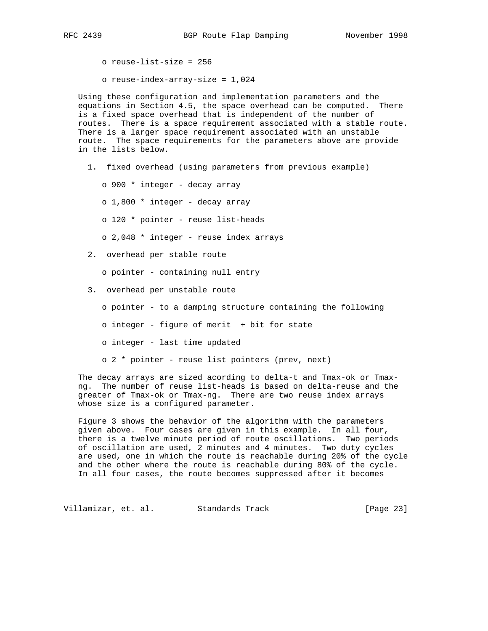o reuse-list-size = 256

o reuse-index-array-size = 1,024

 Using these configuration and implementation parameters and the equations in Section 4.5, the space overhead can be computed. There is a fixed space overhead that is independent of the number of routes. There is a space requirement associated with a stable route. There is a larger space requirement associated with an unstable route. The space requirements for the parameters above are provide in the lists below.

1. fixed overhead (using parameters from previous example)

o 900 \* integer - decay array

- o 1,800 \* integer decay array
- o 120 \* pointer reuse list-heads
- o 2,048 \* integer reuse index arrays
- 2. overhead per stable route
	- o pointer containing null entry
- 3. overhead per unstable route
	- o pointer to a damping structure containing the following
	- o integer figure of merit + bit for state
	- o integer last time updated
	- o 2 \* pointer reuse list pointers (prev, next)

 The decay arrays are sized acording to delta-t and Tmax-ok or Tmax ng. The number of reuse list-heads is based on delta-reuse and the greater of Tmax-ok or Tmax-ng. There are two reuse index arrays whose size is a configured parameter.

 Figure 3 shows the behavior of the algorithm with the parameters given above. Four cases are given in this example. In all four, there is a twelve minute period of route oscillations. Two periods of oscillation are used, 2 minutes and 4 minutes. Two duty cycles are used, one in which the route is reachable during 20% of the cycle and the other where the route is reachable during 80% of the cycle. In all four cases, the route becomes suppressed after it becomes

Villamizar, et. al. Standards Track (Page 23)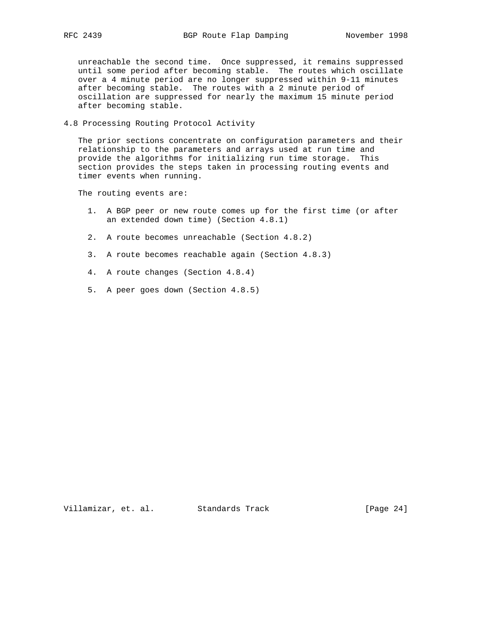unreachable the second time. Once suppressed, it remains suppressed until some period after becoming stable. The routes which oscillate over a 4 minute period are no longer suppressed within 9-11 minutes after becoming stable. The routes with a 2 minute period of oscillation are suppressed for nearly the maximum 15 minute period after becoming stable.

4.8 Processing Routing Protocol Activity

 The prior sections concentrate on configuration parameters and their relationship to the parameters and arrays used at run time and provide the algorithms for initializing run time storage. This section provides the steps taken in processing routing events and timer events when running.

The routing events are:

- 1. A BGP peer or new route comes up for the first time (or after an extended down time) (Section 4.8.1)
- 2. A route becomes unreachable (Section 4.8.2)
- 3. A route becomes reachable again (Section 4.8.3)
- 4. A route changes (Section 4.8.4)
- 5. A peer goes down (Section 4.8.5)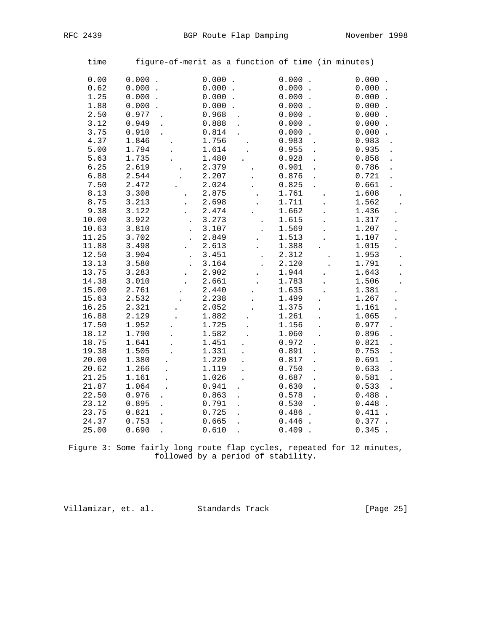| time           |                               |                      |                               | figure-of-merit as a function of time (in minutes) |                               |                |  |
|----------------|-------------------------------|----------------------|-------------------------------|----------------------------------------------------|-------------------------------|----------------|--|
| 0.00           | 0.000<br>$\ddot{\phantom{a}}$ |                      | 0.000<br>$\ddot{\phantom{a}}$ |                                                    | $0.000$ .                     | 0.000          |  |
| 0.62           | 0.000                         |                      | 0.000                         |                                                    | 0.000                         | 0.000          |  |
| 1.25           | 0.000                         |                      | 0.000                         |                                                    | 0.000<br>$\cdot$              | 0.000          |  |
| 1.88           | 0.000                         |                      | 0.000                         |                                                    | 0.000<br>$\ddot{\phantom{a}}$ | 0.000          |  |
| 2.50           | 0.977                         |                      | 0.968                         |                                                    | 0.000                         | 0.000          |  |
| 3.12           | 0.949                         |                      | 0.888                         |                                                    | 0.000                         | 0.000          |  |
| 3.75           | 0.910                         |                      | 0.814                         |                                                    | 0.000                         | 0.000          |  |
| 4.37           | 1.846                         |                      | 1.756                         |                                                    | 0.983                         | 0.983          |  |
| 5.00           | 1.794                         |                      | 1.614                         |                                                    | 0.955                         | 0.935          |  |
| 5.63           | 1.735                         |                      | 1.480                         |                                                    | 0.928                         | 0.858          |  |
| 6.25           | 2.619                         |                      | 2.379                         |                                                    | 0.901                         | 0.786          |  |
| 6.88           | 2.544                         |                      | 2.207                         |                                                    | 0.876                         | 0.721          |  |
| 7.50           | 2.472                         |                      | 2.024                         |                                                    | 0.825                         | 0.661          |  |
| 8.13           | 3.308                         |                      | 2.875                         |                                                    | 1.761                         | 1.608          |  |
| 8.75           | 3.213                         |                      | 2.698                         |                                                    | 1.711                         | 1.562          |  |
| 9.38           | 3.122                         | $\ddot{\phantom{0}}$ | 2.474                         |                                                    | 1.662                         | 1.436          |  |
| 10.00          | 3.922                         | $\ddot{\phantom{a}}$ | 3.273                         |                                                    | 1.615                         | 1.317          |  |
| 10.63          | 3.810                         |                      | 3.107                         |                                                    | 1.569                         | 1.207          |  |
| 11.25          | 3.702                         |                      | 2.849                         |                                                    | 1.513                         | 1.107          |  |
| 11.88          | 3.498                         |                      | 2.613                         |                                                    | 1.388                         | 1.015          |  |
| 12.50          | 3.904                         | $\ddot{\phantom{0}}$ | 3.451                         |                                                    | 2.312                         | 1.953          |  |
| 13.13          | 3.580                         |                      | 3.164                         |                                                    | 2.120                         | 1.791          |  |
| 13.75          | 3.283                         |                      | 2.902                         |                                                    | 1.944                         | 1.643          |  |
| 14.38          | 3.010                         |                      | 2.661                         |                                                    | 1.783                         | 1.506          |  |
| 15.00          | 2.761                         |                      | 2.440                         |                                                    | 1.635                         | 1.381          |  |
| 15.63          | 2.532                         |                      | 2.238                         |                                                    | 1.499                         | 1.267          |  |
| 16.25          | 2.321                         |                      | 2.052                         |                                                    | 1.375                         | 1.161          |  |
| 16.88          | 2.129                         |                      | 1.882                         |                                                    | 1.261                         | 1.065          |  |
| 17.50          | 1.952                         |                      | 1.725                         |                                                    | 1.156                         | 0.977          |  |
| 18.12          | 1.790                         |                      | 1.582                         |                                                    | 1.060                         | 0.896          |  |
| 18.75          | 1.641                         |                      | 1.451                         |                                                    | 0.972                         | 0.821          |  |
| 19.38          | 1.505                         |                      | 1.331                         |                                                    | 0.891                         | 0.753          |  |
| 20.00<br>20.62 | 1.380<br>1.266                |                      | 1.220<br>1.119                |                                                    | 0.817<br>0.750                | 0.691<br>0.633 |  |
| 21.25          | 1.161                         |                      | 1.026                         |                                                    | 0.687                         | 0.581          |  |
| 21.87          | 1.064                         |                      | 0.941                         |                                                    | 0.630                         | 0.533          |  |
| 22.50          | 0.976                         |                      | 0.863                         |                                                    | 0.578                         | 0.488          |  |
| 23.12          | 0.895                         |                      | 0.791                         |                                                    | 0.530                         | 0.448          |  |
| 23.75          | 0.821                         |                      | 0.725                         |                                                    | 0.486                         | 0.411          |  |
| 24.37          | 0.753                         |                      | 0.665                         |                                                    | 0.446                         | 0.377          |  |
| 25.00          | 0.690                         |                      | 0.610                         |                                                    | 0.409                         | 0.345          |  |
|                |                               |                      |                               |                                                    |                               |                |  |

 Figure 3: Some fairly long route flap cycles, repeated for 12 minutes, followed by a period of stability.

Villamizar, et. al. Standards Track [Page 25]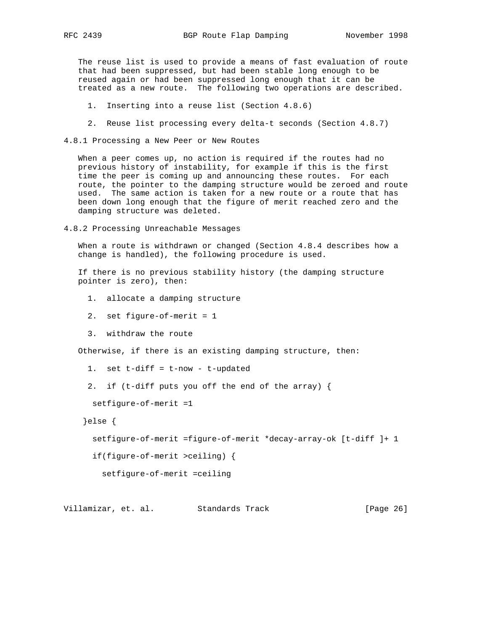The reuse list is used to provide a means of fast evaluation of route that had been suppressed, but had been stable long enough to be reused again or had been suppressed long enough that it can be treated as a new route. The following two operations are described.

- 1. Inserting into a reuse list (Section 4.8.6)
- 2. Reuse list processing every delta-t seconds (Section 4.8.7)
- 4.8.1 Processing a New Peer or New Routes

 When a peer comes up, no action is required if the routes had no previous history of instability, for example if this is the first time the peer is coming up and announcing these routes. For each route, the pointer to the damping structure would be zeroed and route used. The same action is taken for a new route or a route that has been down long enough that the figure of merit reached zero and the damping structure was deleted.

4.8.2 Processing Unreachable Messages

 When a route is withdrawn or changed (Section 4.8.4 describes how a change is handled), the following procedure is used.

 If there is no previous stability history (the damping structure pointer is zero), then:

- 1. allocate a damping structure
- 2. set figure-of-merit = 1
- 3. withdraw the route

Otherwise, if there is an existing damping structure, then:

- 1. set t-diff = t-now t-updated
- 2. if (t-diff puts you off the end of the array) {

setfigure-of-merit =1

}else {

setfigure-of-merit =figure-of-merit \*decay-array-ok [t-diff ]+ 1

if(figure-of-merit >ceiling) {

setfigure-of-merit =ceiling

Villamizar, et. al. Standards Track [Page 26]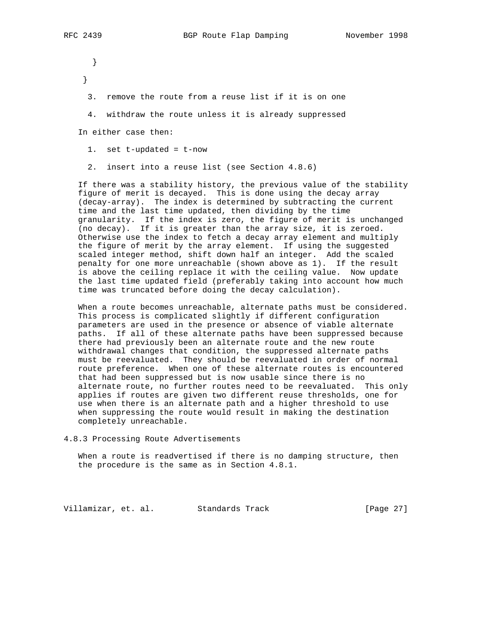} }

- 3. remove the route from a reuse list if it is on one
- 4. withdraw the route unless it is already suppressed

In either case then:

- 1. set t-updated = t-now
- 2. insert into a reuse list (see Section 4.8.6)

 If there was a stability history, the previous value of the stability figure of merit is decayed. This is done using the decay array (decay-array). The index is determined by subtracting the current time and the last time updated, then dividing by the time granularity. If the index is zero, the figure of merit is unchanged (no decay). If it is greater than the array size, it is zeroed. Otherwise use the index to fetch a decay array element and multiply the figure of merit by the array element. If using the suggested scaled integer method, shift down half an integer. Add the scaled penalty for one more unreachable (shown above as 1). If the result is above the ceiling replace it with the ceiling value. Now update the last time updated field (preferably taking into account how much time was truncated before doing the decay calculation).

 When a route becomes unreachable, alternate paths must be considered. This process is complicated slightly if different configuration parameters are used in the presence or absence of viable alternate paths. If all of these alternate paths have been suppressed because there had previously been an alternate route and the new route withdrawal changes that condition, the suppressed alternate paths must be reevaluated. They should be reevaluated in order of normal route preference. When one of these alternate routes is encountered that had been suppressed but is now usable since there is no alternate route, no further routes need to be reevaluated. This only applies if routes are given two different reuse thresholds, one for use when there is an alternate path and a higher threshold to use when suppressing the route would result in making the destination completely unreachable.

4.8.3 Processing Route Advertisements

 When a route is readvertised if there is no damping structure, then the procedure is the same as in Section 4.8.1.

Villamizar, et. al. Standards Track [Page 27]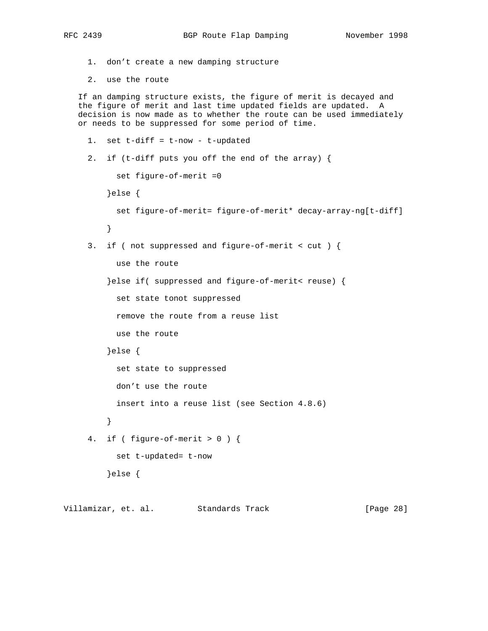```
 1. don't create a new damping structure
   2. use the route
 If an damping structure exists, the figure of merit is decayed and
 the figure of merit and last time updated fields are updated. A
 decision is now made as to whether the route can be used immediately
 or needs to be suppressed for some period of time.
  1. set t-diff = t-now - t-updated
   2. if (t-diff puts you off the end of the array) {
        set figure-of-merit =0
       }else {
         set figure-of-merit= figure-of-merit* decay-array-ng[t-diff]
       }
   3. if ( not suppressed and figure-of-merit < cut ) {
         use the route
       }else if( suppressed and figure-of-merit< reuse) {
         set state tonot suppressed
         remove the route from a reuse list
        use the route
       }else {
         set state to suppressed
         don't use the route
         insert into a reuse list (see Section 4.8.6)
       }
  4. if ( figure-of-merit > 0 ) {
        set t-updated= t-now
       }else {
```
Villamizar, et. al. Standards Track [Page 28]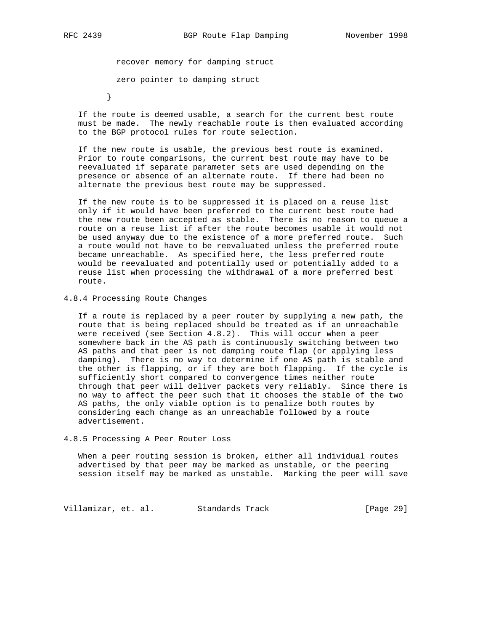recover memory for damping struct

zero pointer to damping struct

}

 If the route is deemed usable, a search for the current best route must be made. The newly reachable route is then evaluated according to the BGP protocol rules for route selection.

 If the new route is usable, the previous best route is examined. Prior to route comparisons, the current best route may have to be reevaluated if separate parameter sets are used depending on the presence or absence of an alternate route. If there had been no alternate the previous best route may be suppressed.

 If the new route is to be suppressed it is placed on a reuse list only if it would have been preferred to the current best route had the new route been accepted as stable. There is no reason to queue a route on a reuse list if after the route becomes usable it would not be used anyway due to the existence of a more preferred route. Such a route would not have to be reevaluated unless the preferred route became unreachable. As specified here, the less preferred route would be reevaluated and potentially used or potentially added to a reuse list when processing the withdrawal of a more preferred best route.

# 4.8.4 Processing Route Changes

 If a route is replaced by a peer router by supplying a new path, the route that is being replaced should be treated as if an unreachable were received (see Section 4.8.2). This will occur when a peer somewhere back in the AS path is continuously switching between two AS paths and that peer is not damping route flap (or applying less damping). There is no way to determine if one AS path is stable and the other is flapping, or if they are both flapping. If the cycle is sufficiently short compared to convergence times neither route through that peer will deliver packets very reliably. Since there is no way to affect the peer such that it chooses the stable of the two AS paths, the only viable option is to penalize both routes by considering each change as an unreachable followed by a route advertisement.

## 4.8.5 Processing A Peer Router Loss

 When a peer routing session is broken, either all individual routes advertised by that peer may be marked as unstable, or the peering session itself may be marked as unstable. Marking the peer will save

Villamizar, et. al. Standards Track (Page 29)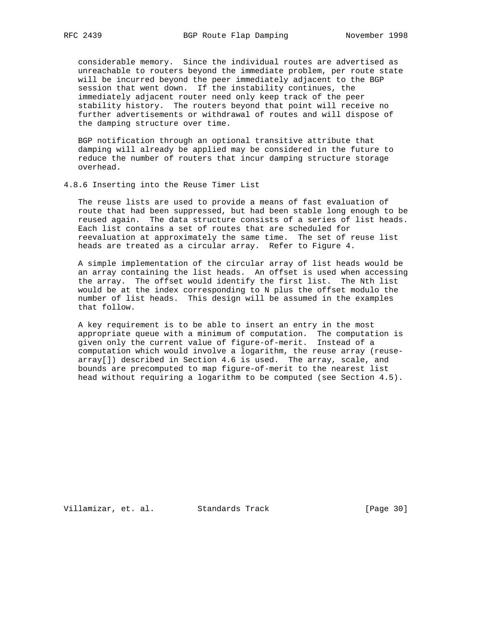considerable memory. Since the individual routes are advertised as unreachable to routers beyond the immediate problem, per route state will be incurred beyond the peer immediately adjacent to the BGP session that went down. If the instability continues, the immediately adjacent router need only keep track of the peer stability history. The routers beyond that point will receive no further advertisements or withdrawal of routes and will dispose of the damping structure over time.

 BGP notification through an optional transitive attribute that damping will already be applied may be considered in the future to reduce the number of routers that incur damping structure storage overhead.

4.8.6 Inserting into the Reuse Timer List

 The reuse lists are used to provide a means of fast evaluation of route that had been suppressed, but had been stable long enough to be reused again. The data structure consists of a series of list heads. Each list contains a set of routes that are scheduled for reevaluation at approximately the same time. The set of reuse list heads are treated as a circular array. Refer to Figure 4.

 A simple implementation of the circular array of list heads would be an array containing the list heads. An offset is used when accessing the array. The offset would identify the first list. The Nth list would be at the index corresponding to N plus the offset modulo the number of list heads. This design will be assumed in the examples that follow.

 A key requirement is to be able to insert an entry in the most appropriate queue with a minimum of computation. The computation is given only the current value of figure-of-merit. Instead of a computation which would involve a logarithm, the reuse array (reuse array[]) described in Section 4.6 is used. The array, scale, and bounds are precomputed to map figure-of-merit to the nearest list head without requiring a logarithm to be computed (see Section 4.5).

Villamizar, et. al. Standards Track [Page 30]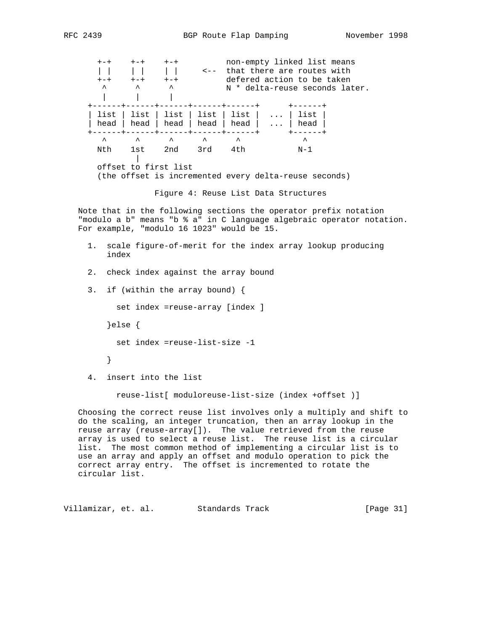+-+ +-+ +-+ non-empty linked list means | | | | | | | | <-- that there are routes with +-+ +-+ +-+ defered action to be taken A A A A N \* delta-reuse seconds later. | | | +------+------+------+------+------+ +------+ | list | list | list | list | list | ... | list | | head | head | head | head | head | ... | head | +------+------+------+------+------+ +------+  $\qquad \qquad \wedge \qquad \wedge \qquad \wedge \qquad \wedge \qquad \wedge \qquad \wedge \qquad \wedge$  Nth 1st 2nd 3rd 4th N-1 | offset to first list (the offset is incremented every delta-reuse seconds)

Figure 4: Reuse List Data Structures

 Note that in the following sections the operator prefix notation "modulo a b" means "b % a" in C language algebraic operator notation. For example, "modulo 16 1023" would be 15.

- 1. scale figure-of-merit for the index array lookup producing index
- 2. check index against the array bound
- 3. if (within the array bound) {

set index =reuse-array [index ]

}else {

set index =reuse-list-size -1

- }
- 4. insert into the list

reuse-list[ moduloreuse-list-size (index +offset )]

 Choosing the correct reuse list involves only a multiply and shift to do the scaling, an integer truncation, then an array lookup in the reuse array (reuse-array[]). The value retrieved from the reuse array is used to select a reuse list. The reuse list is a circular list. The most common method of implementing a circular list is to use an array and apply an offset and modulo operation to pick the correct array entry. The offset is incremented to rotate the circular list.

Villamizar, et. al. Standards Track [Page 31]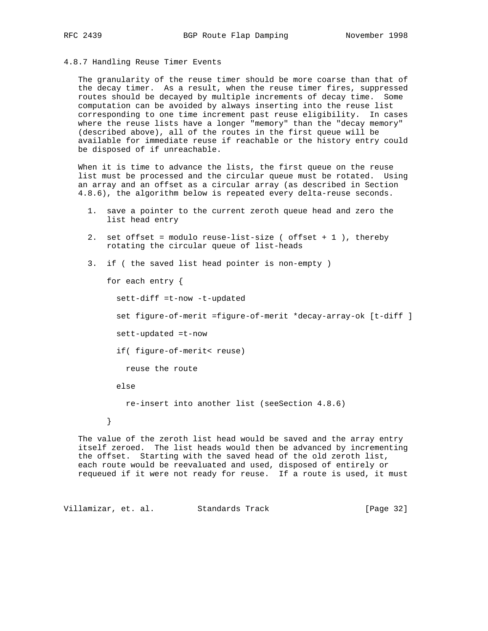## 4.8.7 Handling Reuse Timer Events

 The granularity of the reuse timer should be more coarse than that of the decay timer. As a result, when the reuse timer fires, suppressed routes should be decayed by multiple increments of decay time. Some computation can be avoided by always inserting into the reuse list corresponding to one time increment past reuse eligibility. In cases where the reuse lists have a longer "memory" than the "decay memory" (described above), all of the routes in the first queue will be available for immediate reuse if reachable or the history entry could be disposed of if unreachable.

 When it is time to advance the lists, the first queue on the reuse list must be processed and the circular queue must be rotated. Using an array and an offset as a circular array (as described in Section 4.8.6), the algorithm below is repeated every delta-reuse seconds.

- 1. save a pointer to the current zeroth queue head and zero the list head entry
- 2. set offset = modulo reuse-list-size ( offset + 1 ), thereby rotating the circular queue of list-heads
- 3. if ( the saved list head pointer is non-empty )

for each entry {

sett-diff =t-now -t-updated

set figure-of-merit =figure-of-merit \*decay-array-ok [t-diff ]

sett-updated =t-now

if( figure-of-merit< reuse)

reuse the route

else

re-insert into another list (seeSection 4.8.6)

}

 The value of the zeroth list head would be saved and the array entry itself zeroed. The list heads would then be advanced by incrementing the offset. Starting with the saved head of the old zeroth list, each route would be reevaluated and used, disposed of entirely or requeued if it were not ready for reuse. If a route is used, it must

Villamizar, et. al. Standards Track [Page 32]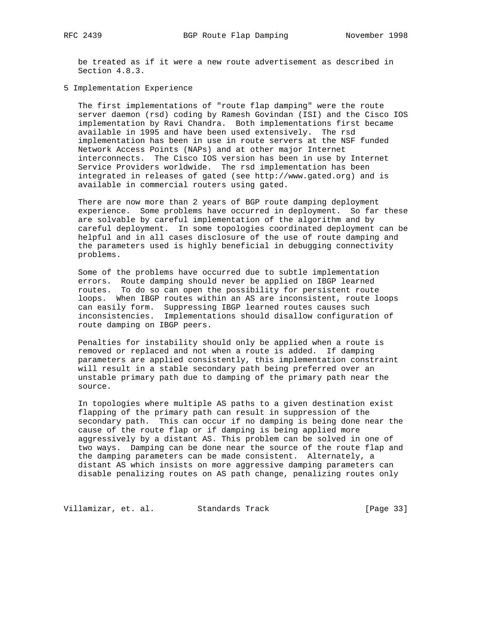be treated as if it were a new route advertisement as described in Section 4.8.3.

5 Implementation Experience

 The first implementations of "route flap damping" were the route server daemon (rsd) coding by Ramesh Govindan (ISI) and the Cisco IOS implementation by Ravi Chandra. Both implementations first became available in 1995 and have been used extensively. The rsd implementation has been in use in route servers at the NSF funded Network Access Points (NAPs) and at other major Internet interconnects. The Cisco IOS version has been in use by Internet Service Providers worldwide. The rsd implementation has been integrated in releases of gated (see http://www.gated.org) and is available in commercial routers using gated.

 There are now more than 2 years of BGP route damping deployment experience. Some problems have occurred in deployment. So far these are solvable by careful implementation of the algorithm and by careful deployment. In some topologies coordinated deployment can be helpful and in all cases disclosure of the use of route damping and the parameters used is highly beneficial in debugging connectivity problems.

 Some of the problems have occurred due to subtle implementation errors. Route damping should never be applied on IBGP learned routes. To do so can open the possibility for persistent route loops. When IBGP routes within an AS are inconsistent, route loops can easily form. Suppressing IBGP learned routes causes such inconsistencies. Implementations should disallow configuration of route damping on IBGP peers.

 Penalties for instability should only be applied when a route is removed or replaced and not when a route is added. If damping parameters are applied consistently, this implementation constraint will result in a stable secondary path being preferred over an unstable primary path due to damping of the primary path near the source.

 In topologies where multiple AS paths to a given destination exist flapping of the primary path can result in suppression of the secondary path. This can occur if no damping is being done near the cause of the route flap or if damping is being applied more aggressively by a distant AS. This problem can be solved in one of two ways. Damping can be done near the source of the route flap and the damping parameters can be made consistent. Alternately, a distant AS which insists on more aggressive damping parameters can disable penalizing routes on AS path change, penalizing routes only

Villamizar, et. al. Standards Track [Page 33]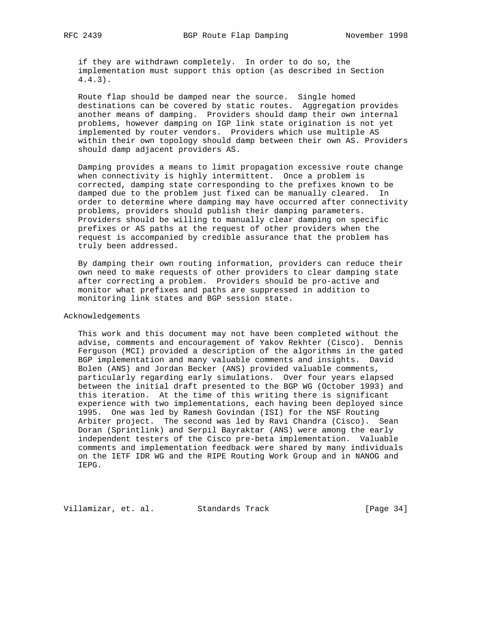if they are withdrawn completely. In order to do so, the implementation must support this option (as described in Section 4.4.3).

 Route flap should be damped near the source. Single homed destinations can be covered by static routes. Aggregation provides another means of damping. Providers should damp their own internal problems, however damping on IGP link state origination is not yet implemented by router vendors. Providers which use multiple AS within their own topology should damp between their own AS. Providers should damp adjacent providers AS.

 Damping provides a means to limit propagation excessive route change when connectivity is highly intermittent. Once a problem is corrected, damping state corresponding to the prefixes known to be damped due to the problem just fixed can be manually cleared. In order to determine where damping may have occurred after connectivity problems, providers should publish their damping parameters. Providers should be willing to manually clear damping on specific prefixes or AS paths at the request of other providers when the request is accompanied by credible assurance that the problem has truly been addressed.

 By damping their own routing information, providers can reduce their own need to make requests of other providers to clear damping state after correcting a problem. Providers should be pro-active and monitor what prefixes and paths are suppressed in addition to monitoring link states and BGP session state.

# Acknowledgements

 This work and this document may not have been completed without the advise, comments and encouragement of Yakov Rekhter (Cisco). Dennis Ferguson (MCI) provided a description of the algorithms in the gated BGP implementation and many valuable comments and insights. David Bolen (ANS) and Jordan Becker (ANS) provided valuable comments, particularly regarding early simulations. Over four years elapsed between the initial draft presented to the BGP WG (October 1993) and this iteration. At the time of this writing there is significant experience with two implementations, each having been deployed since 1995. One was led by Ramesh Govindan (ISI) for the NSF Routing Arbiter project. The second was led by Ravi Chandra (Cisco). Sean Doran (Sprintlink) and Serpil Bayraktar (ANS) were among the early independent testers of the Cisco pre-beta implementation. Valuable comments and implementation feedback were shared by many individuals on the IETF IDR WG and the RIPE Routing Work Group and in NANOG and IEPG.

Villamizar, et. al. Standards Track [Page 34]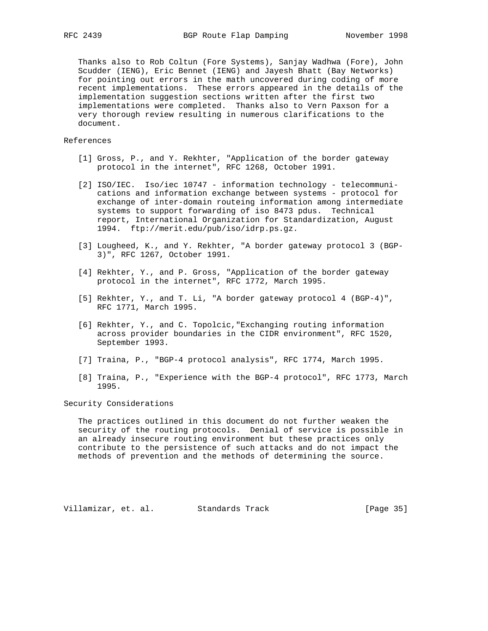Thanks also to Rob Coltun (Fore Systems), Sanjay Wadhwa (Fore), John Scudder (IENG), Eric Bennet (IENG) and Jayesh Bhatt (Bay Networks) for pointing out errors in the math uncovered during coding of more recent implementations. These errors appeared in the details of the implementation suggestion sections written after the first two implementations were completed. Thanks also to Vern Paxson for a very thorough review resulting in numerous clarifications to the document.

# References

- [1] Gross, P., and Y. Rekhter, "Application of the border gateway protocol in the internet", RFC 1268, October 1991.
- [2] ISO/IEC. Iso/iec 10747 information technology telecommuni cations and information exchange between systems - protocol for exchange of inter-domain routeing information among intermediate systems to support forwarding of iso 8473 pdus. Technical report, International Organization for Standardization, August 1994. ftp://merit.edu/pub/iso/idrp.ps.gz.
- [3] Lougheed, K., and Y. Rekhter, "A border gateway protocol 3 (BGP- 3)", RFC 1267, October 1991.
- [4] Rekhter, Y., and P. Gross, "Application of the border gateway protocol in the internet", RFC 1772, March 1995.
- [5] Rekhter, Y., and T. Li, "A border gateway protocol 4 (BGP-4)", RFC 1771, March 1995.
- [6] Rekhter, Y., and C. Topolcic,"Exchanging routing information across provider boundaries in the CIDR environment", RFC 1520, September 1993.
- [7] Traina, P., "BGP-4 protocol analysis", RFC 1774, March 1995.
- [8] Traina, P., "Experience with the BGP-4 protocol", RFC 1773, March 1995.

# Security Considerations

 The practices outlined in this document do not further weaken the security of the routing protocols. Denial of service is possible in an already insecure routing environment but these practices only contribute to the persistence of such attacks and do not impact the methods of prevention and the methods of determining the source.

Villamizar, et. al. Standards Track [Page 35]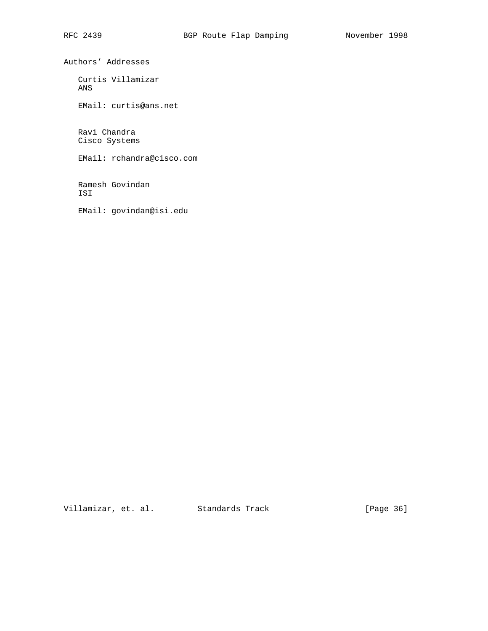Authors' Addresses

 Curtis Villamizar ANS

EMail: curtis@ans.net

 Ravi Chandra Cisco Systems

EMail: rchandra@cisco.com

 Ramesh Govindan ISI

EMail: govindan@isi.edu